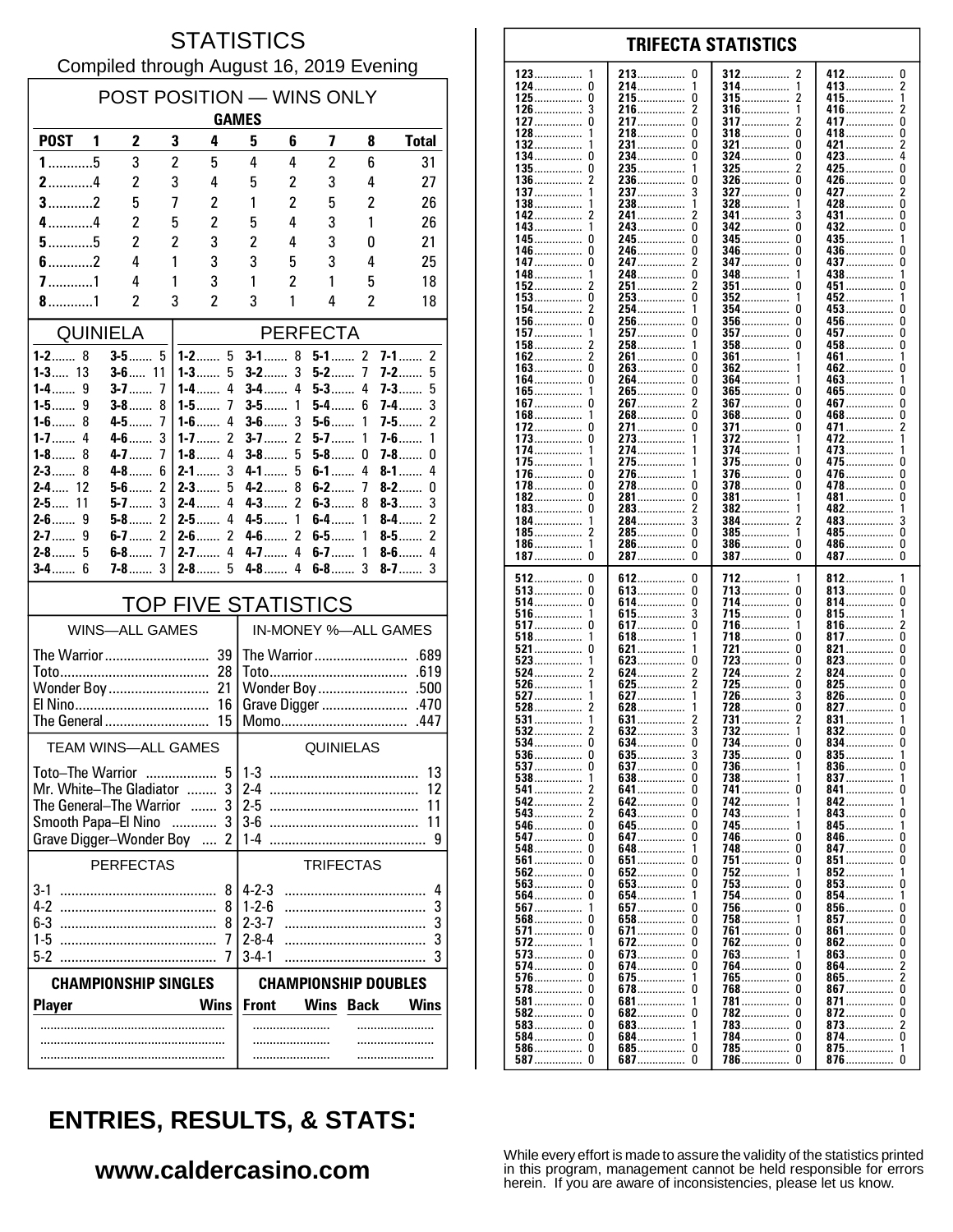### **STATISTICS** Compiled through August 16, 2019 Evening

| POST POSITION - WINS ONLY<br><b>GAMES</b>                     |                         |                     |                              |                            |                              |                  |                         |                                                    |  |  |
|---------------------------------------------------------------|-------------------------|---------------------|------------------------------|----------------------------|------------------------------|------------------|-------------------------|----------------------------------------------------|--|--|
| <b>POST</b>                                                   | 2<br>1                  | 3                   | 4                            | 5                          | 6                            | 7                | 8                       | <b>Total</b>                                       |  |  |
| $1$ 5                                                         | 3                       | $\overline{2}$      | 5                            | 4                          | 4                            | $\overline{2}$   | 6                       | 31                                                 |  |  |
| $2$ 4                                                         | 2                       | 3                   | 4                            | 5                          | 2                            | 3                | 4                       | 27                                                 |  |  |
| $3$ 2                                                         | 5                       | 7                   | 2                            | 1                          | 2                            | 5                | 2                       | 26                                                 |  |  |
| $4$ 4                                                         | $\overline{c}$          | 5                   | 2                            | 5                          | 4                            | 3                | 1                       | 26                                                 |  |  |
| $5$ 5<br>$6$ 2                                                | $\overline{c}$<br>4     | $\overline{2}$<br>1 | 3<br>3                       | $\overline{c}$<br>3        | 4                            | 3<br>3           | 0<br>4                  | 21<br>25                                           |  |  |
| $7$ 1                                                         | 4                       | 1                   | 3                            | 1                          | 5<br>$\overline{\mathbf{c}}$ | 1                | 5                       | 18                                                 |  |  |
| $8$ 1                                                         | $\overline{\mathbf{c}}$ | 3                   | $\overline{\mathbf{c}}$      | 3                          | 1                            | 4                | $\overline{\mathbf{c}}$ | 18                                                 |  |  |
| <b>QUINIELA</b>                                               |                         |                     | <b>PERFECTA</b>              |                            |                              |                  |                         |                                                    |  |  |
| $1 - 2$ 8                                                     |                         |                     | $1 - 2$ 5                    | $3 - 1$ 8                  |                              | $5 - 1$ 2        |                         | $\overline{2}$<br>7-1                              |  |  |
| $1 - 3$ 13                                                    | $3 - 6$ 11              |                     | $1 - 3$<br>5                 | $3-2$                      | 3                            | $5-2$            | $\overline{1}$          | 5<br>7-2                                           |  |  |
| $1-4$<br>9<br>1-5……<br>9                                      | $3-7$<br>3-8……          | 7<br>8              | $1 - 4$<br>4<br>7<br>$1-5$   | $3-4$<br>$3 - 5$           | 4<br>1                       | $5-3$<br>$5-4$   | 4<br>6                  | $7-3$<br>5<br>3<br>7-4……                           |  |  |
| $1-6$<br>8                                                    | 4-5                     | 7                   | 4<br>$1-6$                   | $3-6$                      | 3                            | $5-6$            | 1                       | 2<br>$7 - 5$                                       |  |  |
| $1 - 7$<br>4                                                  | $4-6$                   | 3                   | 2<br>$1 - 7$                 | $3-7$                      | $\overline{2}$               | $5-7$            | 1                       | $7-6$<br>1                                         |  |  |
| $1-8$<br>8<br>$2-3$<br>8                                      | $4 - 7$<br>$4 - 8$      | 7<br>6              | 4<br>$1 - 8$<br>3<br>$2 - 1$ | $3-8$<br>$4 - 1$           | 5<br>5                       | $5-8$<br>$6-1$   | 0<br>4                  | $7 - 8$<br>0<br>$8-1$<br>4                         |  |  |
| $2 - 4$ 12                                                    | $5-6$                   | $\overline{c}$      | $2-3$<br>5                   | $4-2$                      | 8                            | $6-2$            | 7                       | $8-2$<br>0                                         |  |  |
| $2 - 5$ 11                                                    | $5-7$                   | 3                   | 4<br>$2-4$                   | $4-3$                      | 2                            | $6-3$            | 8                       | 3<br>$8-3$                                         |  |  |
| $2-6$<br>9<br>$2 - 7$<br>9                                    | $5-8$<br>6-7……          | $\overline{c}$<br>2 | $2 - 5$<br>4<br>2<br>2-6……   | $4 - 5$<br>4-6             | 1<br>$\overline{2}$          | $6 - 4$<br>$6-5$ | 1<br>1                  | $\overline{c}$<br>$8-4$<br>$\overline{c}$<br>$8-5$ |  |  |
| $2 - 8$<br>5                                                  | 6-8                     | 7                   | 4<br>$2 - 7$                 | $4 - 7$                    | 4                            | $6-7$            | 1                       | 4<br>$8-6$                                         |  |  |
| 6<br>$3-4$                                                    | $7-8$                   | 3                   | $2-8$<br>5                   | $4-8$                      | 4                            | $6-8$            | 3                       | 3<br>$8-7$                                         |  |  |
|                                                               |                         |                     | <b>TOP FIVE STATISTICS</b>   |                            |                              |                  |                         |                                                    |  |  |
| <b>WINS-ALL GAMES</b>                                         |                         |                     |                              |                            | IN-MONEY %-ALL GAMES         |                  |                         |                                                    |  |  |
|                                                               |                         |                     |                              |                            |                              |                  |                         |                                                    |  |  |
|                                                               |                         |                     | 28                           |                            |                              |                  |                         |                                                    |  |  |
| Wonder Boy<br>21<br>16                                        |                         |                     |                              | Grave Digger<br>.470       |                              |                  |                         |                                                    |  |  |
| The General                                                   |                         |                     | 15                           |                            |                              | Momo             |                         | .447                                               |  |  |
| <b>TEAM WINS-ALL GAMES</b>                                    |                         |                     |                              | QUINIELAS                  |                              |                  |                         |                                                    |  |  |
| <b>Toto-The Warrior</b>                                       |                         |                     | 5.                           | 1.3                        |                              |                  |                         | 13                                                 |  |  |
|                                                               |                         |                     | Mr. White-The Gladiator  3   | $2-4$                      |                              |                  |                         | 12                                                 |  |  |
| The General-The Warrior<br>3<br>3<br>Smooth Papa-El Nino<br>. |                         |                     | $2-5$<br>$3-6$               |                            |                              |                  | 11<br>11                |                                                    |  |  |
|                                                               |                         |                     | Grave Digger-Wonder Boy  2   | $1-4$                      |                              |                  |                         | 9                                                  |  |  |
|                                                               | <b>PERFECTAS</b>        |                     |                              |                            |                              | <b>TRIFECTAS</b> |                         |                                                    |  |  |
|                                                               |                         |                     | 8                            | $4 - 2 - 3$                |                              |                  |                         | 4                                                  |  |  |
| $4-2$                                                         |                         |                     | 8<br>8                       | $1 - 2 - 6$<br>$2 - 3 - 7$ |                              |                  |                         | 3<br>3                                             |  |  |
|                                                               |                         |                     | 7                            | $2 - 8 - 4$                |                              |                  |                         | 3                                                  |  |  |
|                                                               |                         |                     | 7                            | $3 - 4 - 1$                |                              |                  |                         | 3                                                  |  |  |
| <b>CHAMPIONSHIP SINGLES</b><br><b>CHAMPIONSHIP DOUBLES</b>    |                         |                     |                              |                            |                              |                  |                         |                                                    |  |  |
| <b>Player</b>                                                 |                         |                     | <b>Wins</b>                  | <b>Front</b>               |                              | <b>Wins</b>      | <b>Back</b>             | <b>Wins</b>                                        |  |  |
|                                                               |                         |                     |                              |                            |                              |                  |                         |                                                    |  |  |
|                                                               |                         |                     |                              |                            |                              |                  |                         |                                                    |  |  |
|                                                               |                         |                     |                              |                            |                              |                  |                         |                                                    |  |  |

#### **TRIFECTA STATISTICS** 213  $\Omega$ 412  $\mathbf{0}$ 312  $\pmb{0}$ 214 314 413  $\boldsymbol{2}$  $\overline{\mathbf{1}}$ -1 . . . . . . . . . . . . . . . . . . . . . . . . . . . . . . . . . . . . . . . . . . . .  $\pmb{0}$  $\mathbf 0$  $\overline{2}$  $\mathbf{1}$ 215 315 415. . . . . . . . . . . . . . . ............... . . . . . . . . . . . . . . . 3 216  $\overline{2}$ 316 416  $\overline{c}$ . . . . . . . . . . . . . . . .............. . . . . . . . . . . . . . . .  $\mathbf{0}$ 0 217  $\Omega$ 317 417 2 . . . . . . . . . . . . . . . . . . . . . . . . . . . . . . . . . . . . . 218  $\Omega$ 318  $\Omega$ 418  $\Omega$ ž  $\Omega$ 231................ 321  $\Omega$  $421$  $\pmb{0}$  $\pmb{0}$ 0  $234$ ................ 324 423  $\Omega$ 235. 325 425  $\mathbf 0$ . . . . . . . . . . . . . . .  $\overline{c}$ 236  $\pmb{0}$ 326  $\Omega$ 426................  $\pmb{0}$ . . . . . . . . . . . . . . . . . . . . . . . . . . . . . . . . . . . . . . . . . . . . . . 237  $\overline{\mathbf{3}}$ 327  $\Omega$ 427  $\overline{2}$ . . . . . . . . . . . . . . 238  $\frac{1}{2}$ 328 428  $\Omega$ 1 . . . . . . . . . . . . . . . . . . . . 241................  $\tilde{0}$  $\overline{2}$ 341 ્ર 431  $\bar{0}$  $342$  $432$ ........ Ō  $\mathbf{1}$ . . . . . . . . . . . . . . . . . . . . . . . . . . Ō  $\mathbf{0}$ 245 345  $\mathbf{0}$ 435. -1 346 0 0 436 246 . . . . . . . . . . . . . . . . . . . . . . . . . . . . . . . . . . . . . . . . . .  $\Omega$ 247 2 347  $\Omega$ 437  $\Omega$ . . . . . . . . . . . . . . . . . . . . . . . . . . . . . . . . . . . . . . . . . . 248  $\pmb{0}$ 348 438 1 . . . . . . . . . . . . . . .............. . . . . . . . . . . . . . . . . 2 251  $\overline{2}$ 351 451 0 n . . . . . . . . . . . . . . . . . . . . . . . . . .  $\Omega$  $\Omega$ 253 352 452  $\mathbf{1}$  $\overline{2}$  $\Omega$ 254  $453...$  $\mathbf{1}$ 354 n  $\mathbf 0$  $\mathbf 0$  $\mathbf 0$ 256 356  $\Omega$  $456...$ ŏ 257.  $\Omega$ 357 457 . . . . . . . . . . . . . . . . . . . . . . . . . . . . . . . . . . . . . . . . . .  $458$ ................  $\pmb{0}$ 258 358  $\Omega$ . . . . . . . . . . . . . . . .............. . . . . . . . . . . . . . . . . 461  $\overline{2}$ 261  $\Omega$ 361  $\overline{1}$ . . . . . . . . . . . . . . . . . . . . . . . . . . . . .  $\Omega$ 263  $\Omega$ 362 462  $\Omega$ . . . . . . . . . . . . . . . . . . . . . . . . . .  $\Omega$ 264  $\Omega$ 364 463.  $\mathbf{1}$ 265.................. 165................ Ō 365.................  $465$ ň  $\Omega$  $\mathbf 0$  $\overline{2}$  $\mathbf{0}$  $\mathbf 0$ 267. 367  $467...$ . . . . . . . . . . . . . . . . . . . . . . . .  $\overline{0}$ Ō Ō 268 368 468 . . . . . . . . . . . . . . . . . . . . . . . . . . . . . . . . . . . . . . . . . . .  $\mathbf 0$ 271.  $\pmb{0}$ 371................ 0 471.....  $\boldsymbol{2}$ . . . . . . . . . . . . . . . . . . . . . . . . . . 372 273 0 472 . . . . . . . . . . . . . . . . . . . . . . . . . . . . . . . . . . . . . . . . . . . . . 274 374 473 . . . . . . . . . . . . . . . . . . . . . . . . . . . . . . . . . . . . . . . . . . . 275 375  $\Omega$ 475  $\Omega$ . . . . . . . . . . . . . . . . . . . . . . . . . . . 376  $\Omega$ -0 276. . . . . . . . . . . . .  $\Omega$ 476. ŏ  $\Omega$ 278................  $\Omega$  $\Omega$ 478 378  $\Omega$ 281  $\pmb{0}$ 381  $\Omega$ 481 . . . . . . . . . . . . . . . ............... . . . . . . . . . . . . . . 0 283  $\overline{c}$ 382 482 . . . . . . . . . . . . . . . . . . . . . . . . . . . . . . . . . . . . . . . . . . . . 284  $\overline{3}$ 384 483 3 . . . . . . . . . . . . . . . . . . . . . . . . . . . . . . . . . . . . . . . . . . . . .  $\overline{2}$ 285  $\Omega$ 385 485  $\Omega$ 1 . . . . . . . . . . . . . . . . . . . . . . . . . . . . . . . . . . . . . . . . . . . . . . . . . . . . . . . . . . .  $\mathbf{1}$ 286.  $\Omega$ 386  $\Omega$ 486................  $\Omega$ . . . . . . . . . . . . . . . . . . . . . . . . . . . . . . . . . . . . . . . . . . . . .  $\dot{0}$  $\tilde{0}$  $\tilde{0}$ 287................ 387 387  $\Omega$  $\mathbf 0$ 612  $\pmb{0}$ 712 812 . . . . . . . . . . . . . . . . . . . . . . .

123

124

125

126

127

128

132

134

135

136

137

138

142

 $143.$ 

145

146

147

148

152

153

154

156.

157

158

162

163

164

167.

168

172

173

174

175

176

178.

182

183

184

185

186

187

512

513

514

516

521

523

524

526

527

531

532

534

536

537

538

541

542

543

546

547

548

561

562

 $563.$ 

564

567

568

571

572

573

574

576

578

582

583

587

 $517...$ 

 $\pmb{0}$ 

0

-1

 $\Omega$ 

 $\Omega$ 

 $\overline{\phantom{a}}$ 

 $\dot{2}$ 

 $\overline{2}$ 

 $\mathbf 0$ 

0

 $\Omega$ 

1

2

 $\overline{2}$ 

 $\overline{\mathbf{c}}$ 

 $\mathbf 0$ 

 $\pmb{0}$ 

 $\Omega$ 

 $\Omega$ 

 $\Omega$ 

 $\overline{0}$ 

Ō

 $\Omega$ 

0

-1

 $\Omega$ 

0

 $\pmb{0}$ 

 $\Omega$ 

 $\pmb{0}$ 

 $\Omega$ 

 $\Omega$ 

 $\Omega$ 

 $\mathbf 0$ 

 $\pmb{0}$ 

. . . . . . . . . . . . . . . .

. . . . . . . . . . . . . . .

. . . . . . . . . . . . .

. . . . . . . . . . .

. . . . . . . . . . . . . . .

. . . . . . . . . . . . . .

. . . . . . . . . . . . . .

. . . . . . . . . . . . . . .

. . . . . . . . . . . . . . .

. . . . . . . . . . . . . . .

. . . . . . . . . . . . . . .

. . . . . . . . . . . . . .

. . . . . . . . . . . . . . .

. . . . . . . . . . . . . .

. . . . . . . . . . . . . .

. . . . . . . . . . . . . . .

. . . . . . . . . . . . . .

. . . . . . . . . . . . . . .

. . . . . . . . . . . . . .

. . . . . . . . . . . . . . .

. . . . . . . . . . . .

. . . . . . . . . . . . .

. . . . . . . . . . . . . . .

. . . . . . . . . . . . . .

. . . . . . . . . . . .

 $581$ ................

584................

586...............

. . . . . . . . . .

. . . . . . . . . .

528

613................

 $618$ ................

 $628$ 

. . . . . . . . . . . . . . .

. . . . . . . . . . . . .  $\overline{0}$ 

. . . . . . . . . . .

. . . . . . . . . . . . . . .

. . . . . . . . . . . . . .

. . . . . . . . . . . . . .

. . . . . . . . . . . . . . .

. . . . . . . . . . . . . . .

. . . . . . . . . . . . . . .

. . . . . . . . . . . . . .

. . . . . . . . . . . .

. . . . . . . . . . . . . . .

.............

. . . . . . . . . . . . . . .

. . . . . . . . . . . . . . .

. . . . . . . . . . . . . .

. . . . . . . . . . . . . .

...............

. . . . . . . . . . . . . .

. . . . . . . . . . . . . . .

. . . . . . . . . . . . .

. . . . . . . . . . . . . . -1

. . . . . . . . . . . . . . .

. . . . . . . . . . . . . . .

. . . . . . . . . . . . . .

684................

685...............

. . . . . . . . . .

653.................

614

615

621

623

624

625

627

631

632

634.

635

637

638

641.

642.

643

645.

647

648

651

652

654

657

658

671

672

673

674.

675

678

681

682

683

687.

617...

 $\pmb{0}$ 

0

3

 $\mathbf{1}$ 

 $\mathbf 0$ 

 $\overline{c}$ 

 $\mathcal{P}$ 

1

 $\bar{3}$ 

0

 $\frac{3}{0}$ 

0

0

 $\Omega$ 

 $\pmb{0}$ 

 $\mathbf 0$ 

 $\Omega$ 

1

 $\Omega$ 

 $\Omega$ 

 $\overline{0}$ 

 $\Omega$ 

 $\Omega$ 

 $\mathbf 0$ 

0

 $\Omega$ 

 $\mathbf 0$ 

 $\mathbf 0$ 

 $\Omega$ 

 $\mathbf{1}$ 

-1

 $\mathbf 0$ 

 $\Omega$ 

713

714

715

716.

718

721

723

724

 $725.726$ 

731

734

735

736

738

741

743

745

746

748

751

752

753

754

756

758

761

762

763

764

765

768

781

782

783

784.

786

 $\Omega$ 

 $\Omega$ 

 $\Omega$ 

1

 $\Omega$ 

 $\theta$ 

O

2

 $\Omega$ 

3

Ō

0

 $\mathbf{1}$ 

0

1

 $\Omega$ 

 $\Omega$ 

 $\Omega$ 

1

Ō

n

1

n

<sup>0</sup>

1

n

 $\pmb{0}$ 

 $\theta$ 

 $\theta$ 

 $\Omega$ 

 $\Omega$ 

 $\Omega$ 

 $\Omega$ 

 $\Omega$ 

. . . . . . . . . . . . .

. . . . . . . . . . . . . . . .

 $785$ ................

. . . . . . . . . . .

. . . . . . . . . . . . . . . .

. . . . . . . . . . . . . . .

. . . . . . . . . . . . . . .

. . . . . . . . . . . . . .

 $728$ 

742................

. . . . . . . . . . . . . .

. . . . . . . . . . . . . . .

. . . . . . . . . . . . . . .

. . . . . . . . . . . .

813

814

815

816.

821

 $823$ 

824

825

831

835

836

837

841

843.

845

846

847

854

857

861

862

863

871

872

873

 $864$ ......

 $865$ .......

 $867$ 

874................

875................

876................

. . . . . . . . . . . . . . . .

..............

. . . . . . . . . . . . . .

 $851.$ 

852

853 3

856................

 $827$ 

 $832$ .......

834.......

842......

 $\pmb{0}$ 

0 . . . . . . . . . . . . . . .

 $\frac{1}{2}$ 

ō

 $\pmb{0}$ 

 $\pmb{0}$ 

 $\Omega$ 

 $\Omega$ 

 $\Omega$ 

Ō

 $\mathbf{1}$ 

 $\dot{0}$ 

 $\mathbf{0}$ 

 $\frac{1}{0}$ 

0

 $\mathbf{1}$ 

 $\mathbf{0}$ 

 $\mathbf{0}$ 

 $\Omega$ 

 $\Omega$ 

 $\mathbf{1}$ 

 $\Omega$ 

 $\Omega$ 

 $\mathbf{0}$ 

0

 $\Omega$ 

ž

 $\overline{2}$ 

 $\mathbf 0$ 

 $\pmb{0}$ 

 $\Omega$ 

 $\mathcal{P}$ 

õ

 $\mathbf{1}$ 

 $\Omega$ 

...............

. . . . . . . . . . . . . . .

. . . . . . . . . . . . . . . .

817................

While every effort is made to assure the validity of the statistics printed in this program, management cannot be held responsible for errors herein. If you are aware of inconsistencies, please let us know.

# **ENTRIES, RESULTS, & STATS:**

### www.caldercasino.com